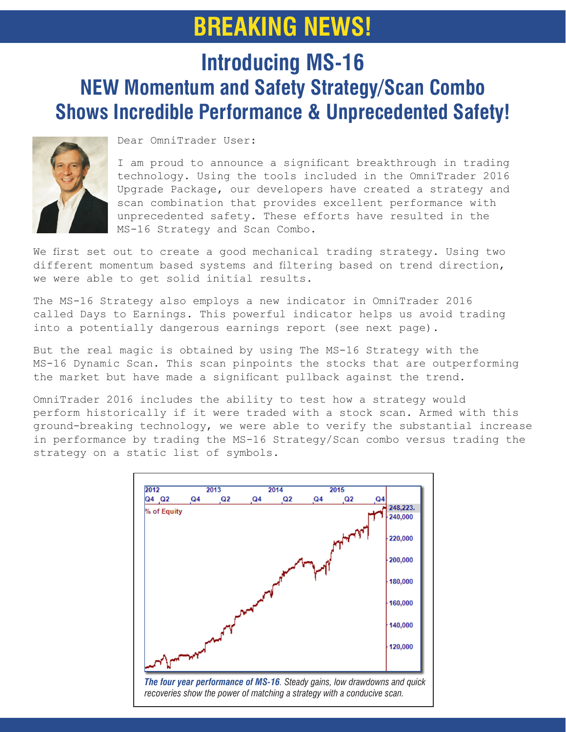# **BREAKING NEWS!**

### **Introducing MS-16 NEW Momentum and Safety Strategy/Scan Combo Shows Incredible Performance & Unprecedented Safety!**



Dear OmniTrader User:

I am proud to announce a significant breakthrough in trading technology. Using the tools included in the OmniTrader 2016 Upgrade Package, our developers have created a strategy and scan combination that provides excellent performance with unprecedented safety. These efforts have resulted in the MS-16 Strategy and Scan Combo.

We first set out to create a good mechanical trading strategy. Using two different momentum based systems and filtering based on trend direction, we were able to get solid initial results.

The MS-16 Strategy also employs a new indicator in OmniTrader 2016 called Days to Earnings. This powerful indicator helps us avoid trading into a potentially dangerous earnings report (see next page).

But the real magic is obtained by using The MS-16 Strategy with the MS-16 Dynamic Scan. This scan pinpoints the stocks that are outperforming the market but have made a significant pullback against the trend.

OmniTrader 2016 includes the ability to test how a strategy would perform historically if it were traded with a stock scan. Armed with this ground-breaking technology, we were able to verify the substantial increase in performance by trading the MS-16 Strategy/Scan combo versus trading the strategy on a static list of symbols.

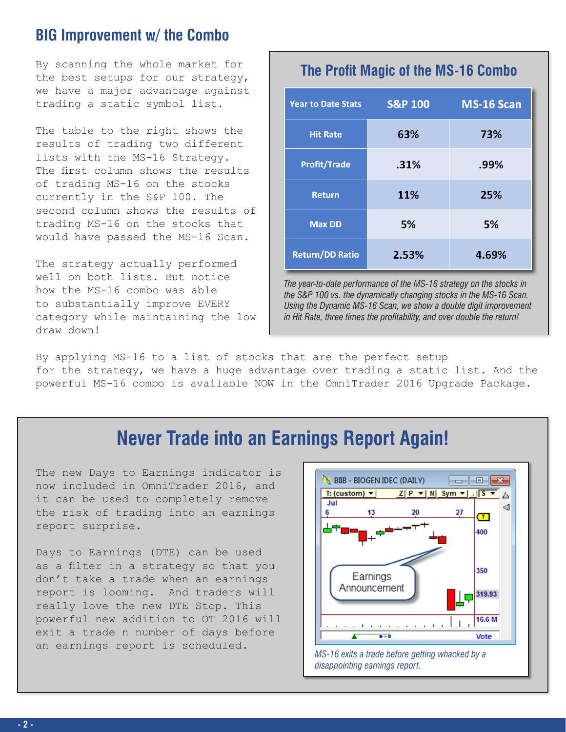#### **BIG Improvement w/ the Combo**

By scanning the whole market for the best setups for our strategy, we have a major advantage against trading a static symbol list.

The table to the right shows the results of trading two different lists with the MS-16 Strategy. The first column shows the results of trading MS-16 on the stocks currently in the S&P 100. The second column shows the results of trading MS-16 on the stocks that would have passed the MS-16 Scan.

The strategy actually performed well on both lists. But notice how the MS-16 combo was able to substantially improve EVERY category while maintaining the low draw down!

#### **The Profit Magic of the MS-16 Combo**

| <b>Year to Date Stats</b> | <b>S&amp;P 100</b> | MS-16 Scan |
|---------------------------|--------------------|------------|
| <b>Hit Rate</b>           | 63%                | 73%        |
| <b>Profit/Trade</b>       | .31%               | .99%       |
| <b>Return</b>             | 11%                | 25%        |
| <b>Max DD</b>             | 5%                 | 5%         |
| <b>Return/DD Ratio</b>    | 2.53%              | 4.69%      |

*The year-to-date performance of the MS-16 strategy on the stocks in the S&P 100 vs. the dynamically changing stocks in the MS-16 Scan. Using the Dynamic MS-16 Scan, we show a double digit improvement in Hit Rate, three times the profitability, and over double the return!*

By applying MS-16 to a list of stocks that are the perfect setup for the strategy, we have a huge advantage over trading a static list. And the powerful MS-16 combo is available NOW in the OmniTrader 2016 Upgrade Package.

### **Never Trade into an Earnings Report Again!**

The new Days to Earnings indicator is now included in OmniTrader 2016, and it can be used to completely remove the risk of trading into an earnings report surprise.

Days to Earnings (DTE) can be used as a filter in a strategy so that you don't take a trade when an earnings report is looming. And traders will really love the new DTE Stop. This powerful new addition to OT 2016 will exit a trade n number of days before an earnings report is scheduled.